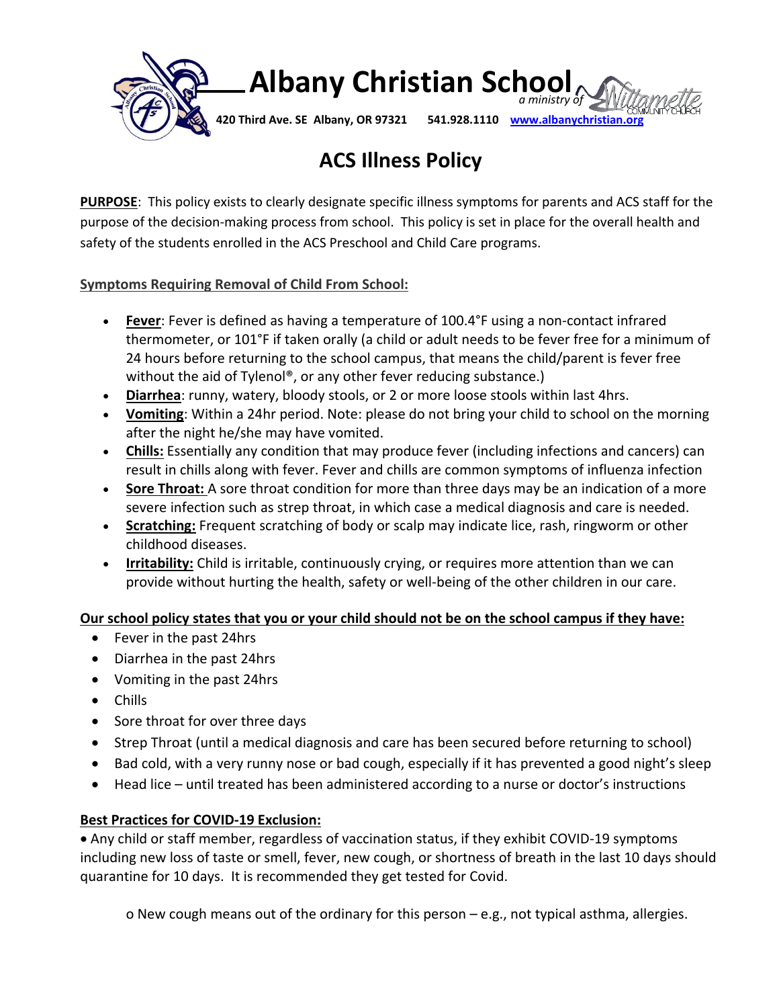

### **Albany Christian School**  *a ministry of*

**420 Third Ave. SE Albany, OR 97321 541.928.1110 [www.albanychristian.org](http://www.albanychristian.org/)**

### **ACS Illness Policy**

**PURPOSE**: This policy exists to clearly designate specific illness symptoms for parents and ACS staff for the purpose of the decision-making process from school. This policy is set in place for the overall health and safety of the students enrolled in the ACS Preschool and Child Care programs.

#### **Symptoms Requiring Removal of Child From School:**

- **Fever**: Fever is defined as having a temperature of 100.4°F using a non-contact infrared thermometer, or 101°F if taken orally (a child or adult needs to be fever free for a minimum of 24 hours before returning to the school campus, that means the child/parent is fever free without the aid of Tylenol®, or any other fever reducing substance.)
- **Diarrhea**: runny, watery, bloody stools, or 2 or more loose stools within last 4hrs.
- **Vomiting**: Within a 24hr period. Note: please do not bring your child to school on the morning after the night he/she may have vomited.
- **Chills:** Essentially any condition that may produce fever (including infections and [cancers\)](https://www.medicinenet.com/cancer/article.htm) can result in chills along with fever. Fever and chills are common symptoms of [influenza](https://www.medicinenet.com/influenza/article.htm) infection
- **Sore Throat:** A sore throat condition for more than three days may be an indication of a more severe infection such as strep throat, in which case a medical diagnosis and care is needed.
- **Scratching:** Frequent scratching of body or scalp may indicate lice, rash, ringworm or other childhood diseases.
- **Irritability:** Child is irritable, continuously crying, or requires more attention than we can provide without hurting the health, safety or well-being of the other children in our care.

#### **Our school policy states that you or your child should not be on the school campus if they have:**

- Fever in the past 24hrs
- Diarrhea in the past 24hrs
- Vomiting in the past 24hrs
- Chills
- Sore throat for over three days
- Strep Throat (until a medical diagnosis and care has been secured before returning to school)
- Bad cold, with a very runny nose or bad cough, especially if it has prevented a good night's sleep
- Head lice until treated has been administered according to a nurse or doctor's instructions

#### **Best Practices for COVID-19 Exclusion:**

• Any child or staff member, regardless of vaccination status, if they exhibit COVID-19 symptoms including new loss of taste or smell, fever, new cough, or shortness of breath in the last 10 days should quarantine for 10 days. It is recommended they get tested for Covid.

o New cough means out of the ordinary for this person – e.g., not typical asthma, allergies.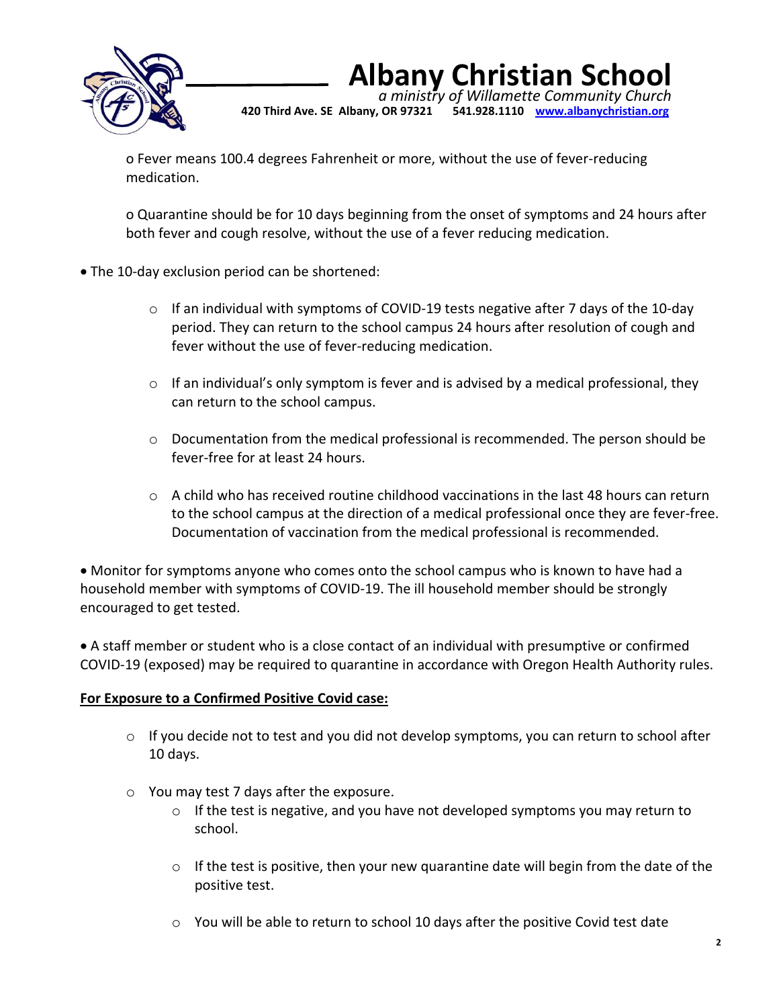

## **Albany Christian School**

 *a ministry of Willamette Community Church* **420 Third Ave. SE Albany, OR 97321 541.928.1110 [www.albanychristian.org](http://www.albanychristian.org/)**

o Fever means 100.4 degrees Fahrenheit or more, without the use of fever-reducing medication.

o Quarantine should be for 10 days beginning from the onset of symptoms and 24 hours after both fever and cough resolve, without the use of a fever reducing medication.

- The 10-day exclusion period can be shortened:
	- o If an individual with symptoms of COVID-19 tests negative after 7 days of the 10-day period. They can return to the school campus 24 hours after resolution of cough and fever without the use of fever-reducing medication.
	- $\circ$  If an individual's only symptom is fever and is advised by a medical professional, they can return to the school campus.
	- $\circ$  Documentation from the medical professional is recommended. The person should be fever-free for at least 24 hours.
	- $\circ$  A child who has received routine childhood vaccinations in the last 48 hours can return to the school campus at the direction of a medical professional once they are fever-free. Documentation of vaccination from the medical professional is recommended.

• Monitor for symptoms anyone who comes onto the school campus who is known to have had a household member with symptoms of COVID-19. The ill household member should be strongly encouraged to get tested.

• A staff member or student who is a close contact of an individual with presumptive or confirmed COVID-19 (exposed) may be required to quarantine in accordance with Oregon Health Authority rules.

#### **For Exposure to a Confirmed Positive Covid case:**

- $\circ$  If you decide not to test and you did not develop symptoms, you can return to school after 10 days.
- o You may test 7 days after the exposure.
	- $\circ$  If the test is negative, and you have not developed symptoms you may return to school.
	- o If the test is positive, then your new quarantine date will begin from the date of the positive test.
	- $\circ$  You will be able to return to school 10 days after the positive Covid test date